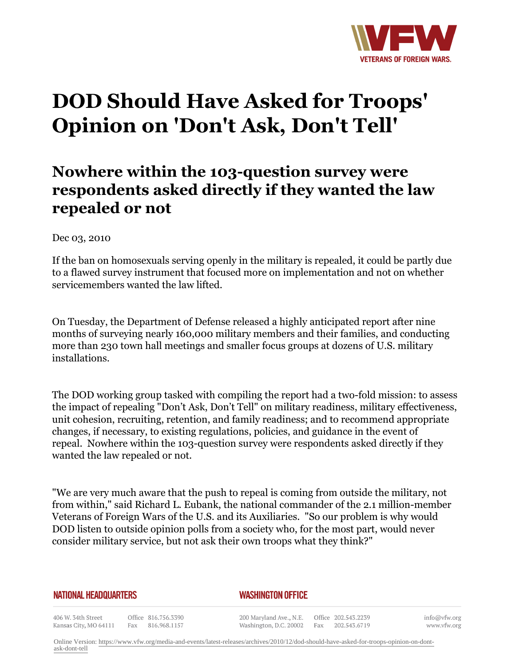

## **DOD Should Have Asked for Troops' Opinion on 'Don't Ask, Don't Tell'**

## **Nowhere within the 103-question survey were respondents asked directly if they wanted the law repealed or not**

Dec 03, 2010

If the ban on homosexuals serving openly in the military is repealed, it could be partly due to a flawed survey instrument that focused more on implementation and not on whether servicemembers wanted the law lifted.

On Tuesday, the Department of Defense released a highly anticipated report after nine months of surveying nearly 160,000 military members and their families, and conducting more than 230 town hall meetings and smaller focus groups at dozens of U.S. military installations.

The DOD working group tasked with compiling the report had a two-fold mission: to assess the impact of repealing "Don't Ask, Don't Tell" on military readiness, military effectiveness, unit cohesion, recruiting, retention, and family readiness; and to recommend appropriate changes, if necessary, to existing regulations, policies, and guidance in the event of repeal. Nowhere within the 103-question survey were respondents asked directly if they wanted the law repealed or not.

"We are very much aware that the push to repeal is coming from outside the military, not from within," said Richard L. Eubank, the national commander of the 2.1 million-member Veterans of Foreign Wars of the U.S. and its Auxiliaries. "So our problem is why would DOD listen to outside opinion polls from a society who, for the most part, would never consider military service, but not ask their own troops what they think?"

## **NATIONAL HEADQUARTERS**

## *WASHINGTON OFFICE*

406 W. 34th Street Office 816.756.3390 Kansas City, MO 64111 Fax 816.968.1157

200 Maryland Ave., N.E. Washington, D.C. 20002

Office 202.543.2239 Fax 202.543.6719 info@vfw.org www.vfw.org

Online Version: [https://www.vfw.org/media-and-events/latest-releases/archives/2010/12/dod-should-have-asked-for-troops-opinion-on-dont](https://www.vfw.org/media-and-events/latest-releases/archives/2010/12/dod-should-have-asked-for-troops-opinion-on-dont-ask-dont-tell)[ask-dont-tell](https://www.vfw.org/media-and-events/latest-releases/archives/2010/12/dod-should-have-asked-for-troops-opinion-on-dont-ask-dont-tell)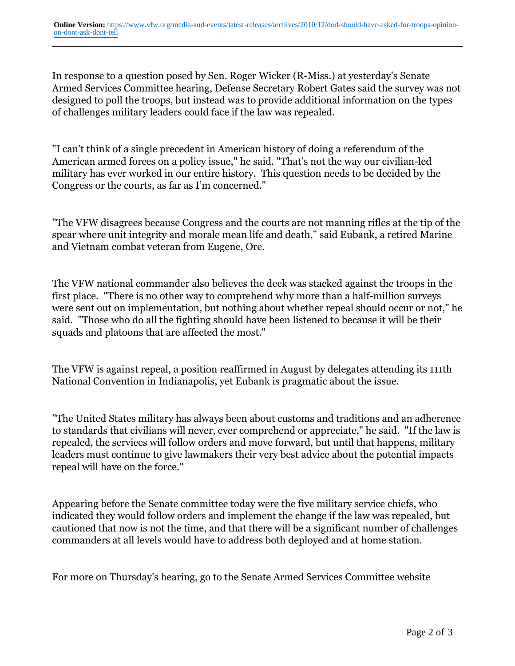In response to a question posed by Sen. Roger Wicker (R-Miss.) at yesterday's Senate Armed Services Committee hearing, Defense Secretary Robert Gates said the survey was not designed to poll the troops, but instead was to provide additional information on the types of challenges military leaders could face if the law was repealed.

"I can't think of a single precedent in American history of doing a referendum of the American armed forces on a policy issue," he said. "That's not the way our civilian-led military has ever worked in our entire history. This question needs to be decided by the Congress or the courts, as far as I'm concerned."

"The VFW disagrees because Congress and the courts are not manning rifles at the tip of the spear where unit integrity and morale mean life and death," said Eubank, a retired Marine and Vietnam combat veteran from Eugene, Ore.

The VFW national commander also believes the deck was stacked against the troops in the first place. "There is no other way to comprehend why more than a half-million surveys were sent out on implementation, but nothing about whether repeal should occur or not," he said. "Those who do all the fighting should have been listened to because it will be their squads and platoons that are affected the most."

The VFW is against repeal, a position reaffirmed in August by delegates attending its 111th National Convention in Indianapolis, yet Eubank is pragmatic about the issue.

"The United States military has always been about customs and traditions and an adherence to standards that civilians will never, ever comprehend or appreciate," he said. "If the law is repealed, the services will follow orders and move forward, but until that happens, military leaders must continue to give lawmakers their very best advice about the potential impacts repeal will have on the force."

Appearing before the Senate committee today were the five military service chiefs, who indicated they would follow orders and implement the change if the law was repealed, but cautioned that now is not the time, and that there will be a significant number of challenges commanders at all levels would have to address both deployed and at home station.

For more on Thursday's hearing, go to the Senate Armed Services Committee website